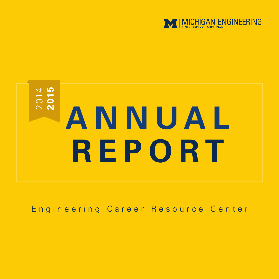

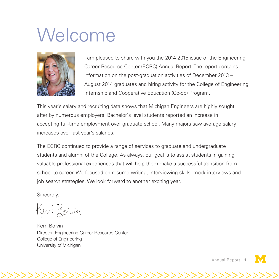### Welcome



I am pleased to share with you the 2014-2015 issue of the Engineering Career Resource Center (ECRC) Annual Report. The report contains information on the post-graduation activities of December 2013 – August 2014 graduates and hiring activity for the College of Engineering Internship and Cooperative Education (Co-op) Program.

This year's salary and recruiting data shows that Michigan Engineers are highly sought after by numerous employers. Bachelor's level students reported an increase in accepting full-time employment over graduate school. Many majors saw average salary increases over last year's salaries.

The ECRC continued to provide a range of services to graduate and undergraduate students and alumni of the College. As always, our goal is to assist students in gaining valuable professional experiences that will help them make a successful transition from school to career. We focused on resume writing, interviewing skills, mock interviews and job search strategies. We look forward to another exciting year.

>>>>>>>>>>>>>>>>>>>>>>>>>>>>>>>>>>>>>>>>>

Sincerely,

Kerri Boiuin

Kerri Boivin Director, Engineering Career Resource Center College of Engineering University of Michigan

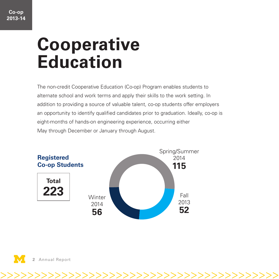## **Cooperative Education**

The non-credit Cooperative Education (Co-op) Program enables students to alternate school and work terms and apply their skills to the work setting. In addition to providing a source of valuable talent, co-op students offer employers an opportunity to identify qualified candidates prior to graduation. Ideally, co-op is eight-months of hands-on engineering experience, occurring either May through December or January through August.



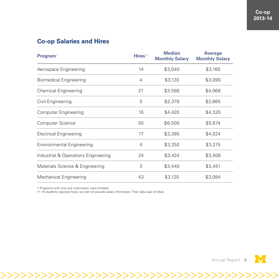#### **Co-op Salaries and Hires**

| <b>Program</b> <sup><math>†</math></sup> | Hires <sup>††</sup> | <b>Median</b><br><b>Monthly Salary</b> | <b>Average</b><br><b>Monthly Salary</b> |
|------------------------------------------|---------------------|----------------------------------------|-----------------------------------------|
| Aerospace Engineering                    | 14                  | \$3,040                                | \$3,160                                 |
| <b>Biomedical Engineering</b>            | 4                   | \$3,120                                | \$3,090                                 |
| <b>Chemical Engineering</b>              | 21                  | \$3,588                                | \$4,068                                 |
| Civil Engineering                        | 5                   | \$2,378                                | \$2,665                                 |
| <b>Computer Engineering</b>              | 16                  | \$4,420                                | \$4,320                                 |
| Computer Science                         | 55                  | \$6,500                                | \$5,674                                 |
| <b>Electrical Engineering</b>            | 17                  | \$3,385                                | \$4,024                                 |
| <b>Environmental Engineering</b>         | 4                   | \$3,250                                | \$3,215                                 |
| Industrial & Operations Engineering      | 24                  | \$3,424                                | \$3,508                                 |
| Materials Science & Engineering          | 3                   | \$3,440                                | \$3,451                                 |
| Mechanical Engineering                   | 43                  | \$3,120                                | \$3,084                                 |

>>>>>>>>>>>>>>>>>>>>>>>>>>>>>>>>>>>>>>>>>

† Programs with only one submission were omitted.

†† 15 students reported hires, but did not provide salary information. Their data was omitted.

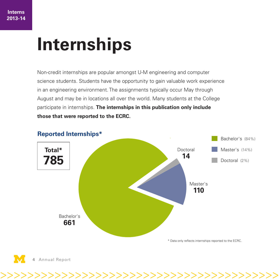## **Internships**

Non-credit internships are popular amongst U-M engineering and computer science students. Students have the opportunity to gain valuable work experience in an engineering environment. The assignments typically occur May through August and may be in locations all over the world. Many students at the College participate in internships. **The internships in this publication only include those that were reported to the ECRC.**



>>>>>>>>>>>>>>>>>>>>>>>>>>>>>>>>>>>>>>>>>

**4** Annual Report Annual Report **5**

#### **Reported Internships\***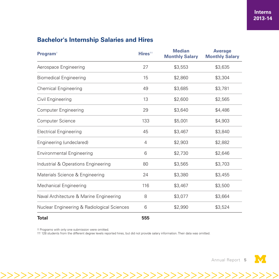#### **Bachelor's Internship Salaries and Hires**

| Program <sup>+</sup>                        | Hires <sup>††</sup> | <b>Median</b><br><b>Monthly Salary</b> | <b>Average</b><br><b>Monthly Salary</b> |
|---------------------------------------------|---------------------|----------------------------------------|-----------------------------------------|
| Aerospace Engineering                       | 27                  | \$3,553                                | \$3,635                                 |
| <b>Biomedical Engineering</b>               | 15                  | \$2,860                                | \$3,304                                 |
| <b>Chemical Engineering</b>                 | 49                  | \$3,685                                | \$3,781                                 |
| Civil Engineering                           | 13                  | \$2,600                                | \$2,565                                 |
| <b>Computer Engineering</b>                 | 29                  | \$3,640                                | \$4,486                                 |
| Computer Science                            | 133                 | \$5,001                                | \$4,903                                 |
| <b>Electrical Engineering</b>               | 45                  | \$3,467                                | \$3,840                                 |
| Engineering (undeclared)                    | 4                   | \$2,903                                | \$2,882                                 |
| <b>Environmental Engineering</b>            | 6                   | \$2,730                                | \$2,646                                 |
| Industrial & Operations Engineering         | 80                  | \$3,565                                | \$3,703                                 |
| Materials Science & Engineering             | 24                  | \$3,380                                | \$3,455                                 |
| Mechanical Engineering                      | 116                 | \$3,467                                | \$3,500                                 |
| Naval Architecture & Marine Engineering     | 8                   | \$3,077                                | \$3,664                                 |
| Nuclear Engineering & Radiological Sciences | 6                   | \$2,990                                | \$3,524                                 |
| Total                                       | 555                 |                                        |                                         |

† Programs with only one submission were omitted.

†† 128 students from the different degree levels reported hires, but did not provide salary information. Their data was omitted.

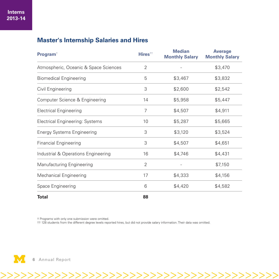#### **Master's Internship Salaries and Hires**

| <b>Program</b> <sup>†</sup>            | Hires <sup>††</sup> | <b>Median</b><br><b>Monthly Salary</b> | <b>Average</b><br><b>Monthly Salary</b> |
|----------------------------------------|---------------------|----------------------------------------|-----------------------------------------|
| Atmospheric, Oceanic & Space Sciences  | $\overline{2}$      |                                        | \$3,470                                 |
| <b>Biomedical Engineering</b>          | 5                   | \$3,467                                | \$3,832                                 |
| Civil Engineering                      | 3                   | \$2,600                                | \$2,542                                 |
| Computer Science & Engineering         | 14                  | \$5,958                                | \$5,447                                 |
| <b>Electrical Engineering</b>          | $\overline{7}$      | \$4,507                                | \$4,911                                 |
| <b>Electrical Engineering: Systems</b> | 10                  | \$5,287                                | \$5,665                                 |
| <b>Energy Systems Engineering</b>      | 3                   | \$3,120                                | \$3,524                                 |
| <b>Financial Engineering</b>           | 3                   | \$4,507                                | \$4,651                                 |
| Industrial & Operations Engineering    | 16                  | \$4,746                                | \$4,431                                 |
| Manufacturing Engineering              | 2                   |                                        | \$7,150                                 |
| <b>Mechanical Engineering</b>          | 17                  | \$4,333                                | \$4,156                                 |
| Space Engineering                      | 6                   | \$4,420                                | \$4,582                                 |
| Total                                  | 88                  |                                        |                                         |

† Programs with only one submission were omitted.<br>†† 128 students from the different degree levels reported hires, but did not provide salary information. Their data was omitted.

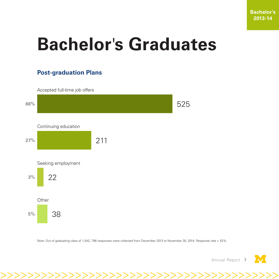# **Bachelor**'**s Graduates**

### **Post-graduation Plans**





Note: Out of graduating class of 1,542, 796 responses were collected from December 2013 to November 30, 2014. Response rate = 52%.

>>>>>>>>>>>>>>>>>>>>>>>>>>>>>>>>>>>>>>>>>

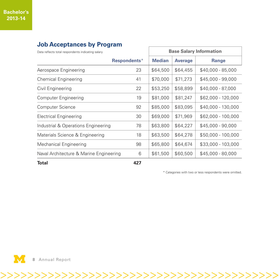### Data reflects total respondents indicating salary **Base Salary Information Respondents**\* **Median Average Range** Aerospace Engineering 23 \$64,500 \$64,455 \$40,000 - 85,000 Chemical Engineering  $41 | $70,000 | $71,273 | $45,000 - 99,000$ Civil Engineering 22  $\frac{1}{353,250}$  \$58,899  $\frac{1}{340,000}$  - 87,000 Computer Engineering 19 \$81,000 \$81,247 \$62,000 - 120,000 Computer Science 92 \$85,000 \$83,095 \$40,000 - 130,000 Electrical Engineering 20  $\frac{1}{30}$  \$69,000 | \$71,969 | \$62,000 - 100,000 Industrial & Operations Engineering 78 \$63,800 \$64,227 \$45,000 - 90,000 Materials Science & Engineering 18 | \$63,500 | \$64,278 | \$50,000 - 100,000 Mechanical Engineering 20 38 | \$65,800 | \$64,674 | \$33,000 - 103,000 Naval Architecture & Marine Engineering 6 \$61,500 \$60,500 \$45,000 - 80,000

#### **Job Acceptances by Program**

**Total 427**

>>>>>>>>>>>>>>>>>>>>>>>>>>>>>>>>>>>>>>>>>

\* Categories with two or less respondents were omitted.

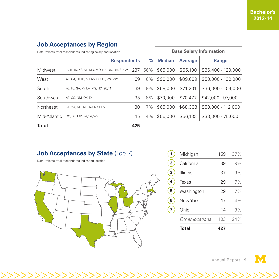#### **Job Acceptances by Region**

| Data reflects total respondents indicating salary and location |                                                |     |      | <b>Base Salary Information</b> |                |                     |
|----------------------------------------------------------------|------------------------------------------------|-----|------|--------------------------------|----------------|---------------------|
|                                                                | <b>Respondents</b>                             |     | $\%$ | <b>Median</b>                  | <b>Average</b> | <b>Range</b>        |
| Midwest                                                        | IA, IL, IN, KS, MI, MN, MO, NE, ND, OH, SD, WI | 237 | 56%  | \$65,000                       | \$65,100       | $$36.400 - 120.000$ |
| West                                                           | AK, CA, HI, ID, MT, NV, OR, UT, WA, WY         | 69  | 16%  | \$90,000                       | \$89,699       | \$50,000 - 130,000  |
| South                                                          | AL, FL, GA, KY, LA, MS, NC, SC, TN             | 39  | 9%   | \$68,000                       | \$71,201       | \$36,000 - 104,000  |
| Southwest                                                      | AZ, CO, NM, OK, TX                             | 35  | 8%   | \$70,000                       | \$70.477       | $$42,000 - 97,000$  |
| Northeast                                                      | CT, MA, ME, NH, NJ, NY, RI, VT                 | 30  | 7%   | \$65,000                       | \$68,333       | \$50,000 - 112,000  |
| Mid-Atlantic                                                   | DC, DE, MD, PA, VA, VV                         | 15  | 4%   | \$56,000                       | \$56,133       | $$33.000 - 75.000$  |
| <b>Total</b>                                                   |                                                | 425 |      |                                |                |                     |

>>>>>>>>>>>>>>>>>>>>>>>>>>>>>>>>>>>>>>>>>

#### **Job Acceptances by State (Top 7)**

Data reflects total respondents indicating location



|   | Total           | 427 |     |
|---|-----------------|-----|-----|
|   | Other locations | 103 | 24% |
|   | Ohio            | 14  | 3%  |
| 6 | New York        | 17  | 4%  |
| 5 | Washington      | 29  | 7%  |
| 4 | Texas           | 29  | 7%  |
| 3 | Illinois        | 37  | 9%  |
| 2 | California      | 39  | 9%  |
|   | Michigan        | 159 | 37% |

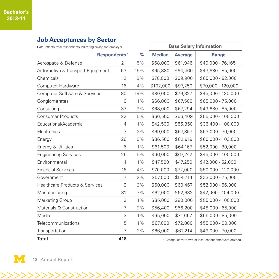#### **Job Acceptances by Sector**

| Data reflects total respondents indicating salary and employer |                |       | <b>Base Salary Information</b> |                |                    |
|----------------------------------------------------------------|----------------|-------|--------------------------------|----------------|--------------------|
|                                                                | Respondents*   | $\%$  | <b>Median</b>                  | <b>Average</b> | <b>Range</b>       |
| Aerospace & Defense                                            | 21             | 5%    | \$68,000                       | \$61,946       | \$40,000 - 76,165  |
| Automotive & Transport Equipment                               | 63             | 15%   | \$65,880                       | \$64,460       | \$43,680 - 85,000  |
| Chemicals                                                      | 12             | 3%    | \$70,000                       | \$69,900       | \$65,000 - 82,000  |
| Computer Hardware                                              | 16             | 4%    | \$102,000                      | \$97,250       | \$70,000 - 120,000 |
| Computer Software & Services                                   | 80             | 19%   | \$80,000                       | \$79,327       | \$45,000 - 130,000 |
| Conglomerates                                                  | 6              | $1\%$ | \$66,000                       | \$67,500       | \$65,000 - 75,000  |
| Consulting                                                     | 37             | 9%    | \$68,000                       | \$67,294       | \$43,680 - 85,000  |
| <b>Consumer Products</b>                                       | 22             | 5%    | \$66,500                       | \$66,409       | \$55,000 - 105,000 |
| Educational/Academia                                           | 4              | $1\%$ | \$42,500                       | \$55,350       | \$36,400 - 100,000 |
| Electronics                                                    | $\overline{7}$ | 2%    | \$69,000                       | \$67,857       | \$63,000 - 70,000  |
| Energy                                                         | 26             | 6%    | \$86,500                       | \$82,919       | \$60,000 - 103,000 |
| Energy & Utilities                                             | 6              | $1\%$ | \$61,500                       | \$64,167       | \$52,000 - 80,000  |
| <b>Engineering Services</b>                                    | 26             | 6%    | \$66,000                       | \$67,242       | \$45,000 - 100,000 |
| Environmental                                                  | 4              | $1\%$ | \$47,500                       | \$47,250       | \$42,000 - 52,000  |
| <b>Financial Services</b>                                      | 16             | 4%    | \$70,000                       | \$72,000       | \$50,000 - 120,000 |
| Government                                                     | 7              | 2%    | \$57,000                       | \$54,714       | \$33,000 - 75,000  |
| <b>Healthcare Products &amp; Services</b>                      | 9              | 2%    | \$60,000                       | \$60,467       | \$52,000 - 66,000  |
| Manufacturing                                                  | 31             | 7%    | \$62,000                       | \$62,632       | \$42,000 - 104,000 |
| Marketing Group                                                | 3              | $1\%$ | \$85,000                       | \$80,000       | \$55,000 - 100,000 |
| Materials & Construction                                       | 7              | 2%    | \$56,400                       | \$56,200       | \$48,000 - 65,000  |
| Media                                                          | 3              | $1\%$ | \$65,000                       | \$71,667       | \$65,000 - 85,000  |
| Telecommunications                                             | 5              | $1\%$ | \$67,000                       | \$72,800       | \$55,000 - 90,000  |
| Transportation                                                 | 7              | 2%    | \$66,000                       | \$61,214       | \$49,000 - 70,000  |
| アー・エー                                                          |                |       |                                |                |                    |



>>>>>>>>>>>>>>>>>>>>>>>>>>>>>>>>>>>>>>>>>

**Total 418** \* Categories with two or less respondents were omitted.

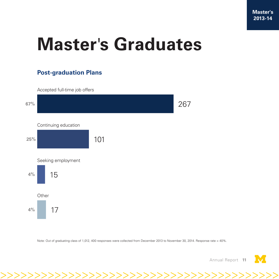# **Master**'**s Graduates**

### **Post-graduation Plans**

Accepted full-time job offers



Note: Out of graduating class of 1,012, 400 responses were collected from December 2013 to November 30, 2014. Response rate = 40%.

>>>>>>>>>>>>>>>>>>>>>>>>>>>>>>>>>>>>>>>>>

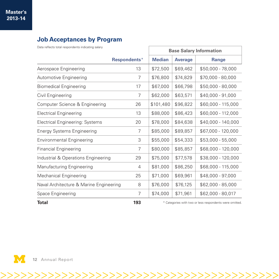#### **Job Acceptances by Program**

| Data reflects total respondents indicating salary |              | <b>Base Salary Information</b> |                |                                                         |
|---------------------------------------------------|--------------|--------------------------------|----------------|---------------------------------------------------------|
|                                                   | Respondents* | <b>Median</b>                  | <b>Average</b> | <b>Range</b>                                            |
| Aerospace Engineering                             | 13           | \$72,500                       | \$69,462       | \$50,000 - 78,000                                       |
| Automotive Engineering                            | 7            | \$76,800                       | \$74,829       | \$70,000 - 80,000                                       |
| <b>Biomedical Engineering</b>                     | 17           | \$67,000                       | \$66,798       | \$50,000 - 80,000                                       |
| Civil Engineering                                 | 7            | \$62,000                       | \$63,571       | \$40,000 - 91,000                                       |
| Computer Science & Engineering                    | 26           | \$101,480                      | \$96,822       | $$60,000 - 115,000$                                     |
| <b>Electrical Engineering</b>                     | 13           | \$88,000                       | \$86,423       | $$60,000 - 112,000$                                     |
| <b>Electrical Engineering: Systems</b>            | 20           | \$78,000                       | \$84,638       | $$40.000 - 140.000$                                     |
| <b>Energy Systems Engineering</b>                 | 7            | \$85,000                       | \$89,857       | \$67,000 - 120,000                                      |
| <b>Environmental Engineering</b>                  | 3            | \$55,000                       | \$54,333       | $$53,000 - 55,000$                                      |
| <b>Financial Engineering</b>                      | 7            | \$80,000                       | \$85,857       | \$68,000 - 120,000                                      |
| Industrial & Operations Engineering               | 29           | \$75,000                       | \$77,578       | \$38,000 - 120,000                                      |
| Manufacturing Engineering                         | 4            | \$81,000                       | \$86,250       | \$68,000 - 115,000                                      |
| Mechanical Engineering                            | 25           | \$71,000                       | \$69,961       | \$48,000 - 97,000                                       |
| Naval Architecture & Marine Engineering           | 8            | \$76,000                       | \$76,125       | \$62,000 - 85,000                                       |
| Space Engineering                                 | 7            | \$74,000                       | \$71,961       | \$62,000 - 80,017                                       |
| Total                                             | 193          |                                |                | * Categories with two or less respondents were omitted. |

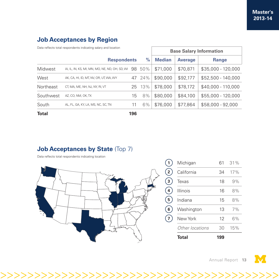#### **Job Acceptances by Region**

| Data reflects total respondents indicating salary and location |                                                |     | <b>Base Salary Information</b> |               |                |                     |
|----------------------------------------------------------------|------------------------------------------------|-----|--------------------------------|---------------|----------------|---------------------|
|                                                                | <b>Respondents</b>                             |     | $\frac{0}{0}$                  | <b>Median</b> | <b>Average</b> | <b>Range</b>        |
| Midwest                                                        | IA, IL, IN, KS, MI, MN, MO, NE, ND, OH, SD, WI | 98  | 50%                            | \$71,000      | \$70,871       | $$35,000 - 120,000$ |
| West                                                           | AK, CA, HI, ID, MT, NV, OR, UT, WA, WY         | 47  | 24%                            | \$90,000      | \$92,177       | $$52.500 - 140.000$ |
| Northeast                                                      | CT, MA, ME, NH, NJ, NY, RI, VT                 | 25  | 13%                            | \$78,000      | \$78,172       | \$40,000 - 110,000  |
| Southwest                                                      | AZ, CO, NM, OK, TX                             | 15  | 8%                             | \$80,000      | \$84,100       | \$55,000 - 120,000  |
| South                                                          | AL, FL, GA, KY, LA, MS, NC, SC, TN             | 11  | 6%                             | \$76,000      | \$77,864       | \$58,000 - 92,000   |
| <b>Total</b>                                                   |                                                | 196 |                                |               |                |                     |

>>>>>>>>>>>>>>>>>>>>>>>>>>>>>>>>>>>>>>>>>

#### **Job Acceptances by State (Top 7)**

Data reflects total respondents indicating location



|   | Total           | 199 |     |
|---|-----------------|-----|-----|
|   | Other locations | 30  | 15% |
|   | New York        | 12  | 6%  |
| 6 | Washington      | 13  | 7%  |
| 5 | Indiana         | 15  | 8%  |
|   | Illinois        | 16  | 8%  |
|   | Texas           | 18  | 9%  |
|   | California      | 34  | 17% |
|   | Michigan        | 61  | 31% |

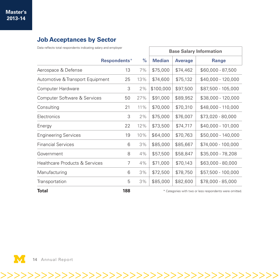#### **Job Acceptances by Sector**

Data reflects total respondents indicating salary and employer

|                                  |              |      | <b>Base Salary Information</b> |                |                                                         |
|----------------------------------|--------------|------|--------------------------------|----------------|---------------------------------------------------------|
|                                  | Respondents* | $\%$ | <b>Median</b>                  | <b>Average</b> | <b>Range</b>                                            |
| Aerospace & Defense              | 13           | 7%   | \$75,000                       | \$74,462       | $$60,000 - 87,500$                                      |
| Automotive & Transport Equipment | 25           | 13%  | \$74,600                       | \$75,132       | \$40,000 - 120,000                                      |
| Computer Hardware                | 3            | 2%   | \$100,000                      | \$97,500       | \$87,500 - 105,000                                      |
| Computer Software & Services     | 50           | 27%  | \$91,000                       | \$89,952       | \$38,000 - 120,000                                      |
| Consulting                       | 21           | 11%  | \$70,000                       | \$70,310       | \$48,000 - 110,000                                      |
| Electronics                      | 3            | 2%   | \$75,000                       | \$76,007       | $$73,020 - 80,000$                                      |
| Energy                           | 22           | 12%  | \$73,500                       | \$74,717       | \$40,000 - 101,000                                      |
| <b>Engineering Services</b>      | 19           | 10%  | \$64,000                       | \$70,763       | \$50,000 - 140,000                                      |
| <b>Financial Services</b>        | 6            | 3%   | \$85,000                       | \$85,667       | \$74,000 - 100,000                                      |
| Government                       | 8            | 4%   | \$57,500                       | \$58,847       | \$35,000 - 78,208                                       |
| Healthcare Products & Services   | 7            | 4%   | \$71,000                       | \$70,143       | \$63,000 - 80,000                                       |
| Manufacturing                    | 6            | 3%   | \$72,500                       | \$78,750       | \$57,500 - 100,000                                      |
| Transportation                   | 5            | 3%   | \$85,000                       | \$82,600       | \$78,000 - 85,000                                       |
| Total                            | 188          |      |                                |                | * Categories with two or less respondents were omitted. |



>>>>>>>>>>>>>>>>>>>>>>>>>>>>>>>>>>>>>>>>>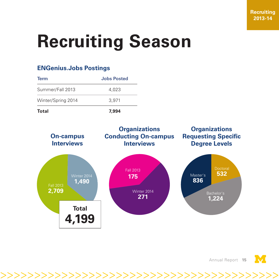# **Recruiting Season**

#### **ENGenius.Jobs Postings**

| <b>Term</b>        | <b>Jobs Posted</b> |
|--------------------|--------------------|
| Summer/Fall 2013   | 4.023              |
| Winter/Spring 2014 | 3.971              |
| Total              | 7.994              |



>>>>>>>>>>>>>>>>>>>>>>>>>>>>>>>>>>>>>>>>>

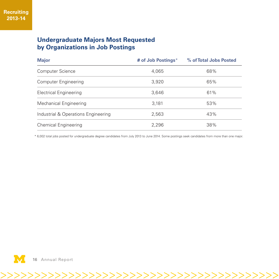#### **Undergraduate Majors Most Requested by Organizations in Job Postings**

| <b>Major</b>                        | # of Job Postings* | % of Total Jobs Posted |
|-------------------------------------|--------------------|------------------------|
| Computer Science                    | 4,065              | 68%                    |
| <b>Computer Engineering</b>         | 3,920              | 65%                    |
| <b>Electrical Engineering</b>       | 3,646              | 61%                    |
| Mechanical Engineering              | 3,181              | 53%                    |
| Industrial & Operations Engineering | 2,563              | 43%                    |
| <b>Chemical Engineering</b>         | 2.296              | 38%                    |

\* 6,002 total jobs posted for undergraduate degree candidates from July 2013 to June 2014. Some postings seek candidates from more than one major.

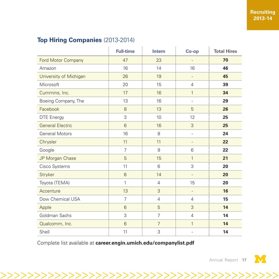#### **Top Hiring Companies** (2013-2014)

|                         | <b>Full-time</b> | <b>Intern</b>  | Co-op                    | <b>Total Hires</b> |
|-------------------------|------------------|----------------|--------------------------|--------------------|
| Ford Motor Company      | 47               | 23             | $\overline{\phantom{a}}$ | 70                 |
| Amazon                  | 16               | 14             | 16                       | 46                 |
| University of Michigan  | 26               | 19             |                          | 45                 |
| Microsoft               | 20               | 15             | 4                        | 39                 |
| Cummins, Inc.           | 17               | 16             | 1                        | 34                 |
| Boeing Company, The     | 13               | 16             | $\overline{\phantom{a}}$ | 29                 |
| Facebook                | 8                | 13             | 5                        | 26                 |
| <b>DTE Energy</b>       | 3                | 10             | 12                       | 25                 |
| <b>General Electric</b> | 6                | 16             | 3                        | 25                 |
| <b>General Motors</b>   | 16               | 8              | $\overline{\phantom{a}}$ | 24                 |
| Chrysler                | 11               | 11             | $\overline{a}$           | 22                 |
| Google                  | $\overline{7}$   | 9              | 6                        | 22                 |
| JP Morgan Chase         | 5                | 15             | $\mathbf{1}$             | 21                 |
| Cisco Systems           | 11               | 6              | 3                        | 20                 |
| Stryker                 | 6                | 14             |                          | 20                 |
| Toyota (TEMA)           | 1                | $\overline{4}$ | 15                       | 20                 |
| Accenture               | 13               | 3              | $\overline{a}$           | 16                 |
| Dow Chemical USA        | $\overline{7}$   | $\overline{4}$ | $\overline{4}$           | 15                 |
| Apple                   | 6                | 5              | 3                        | 14                 |
| Goldman Sachs           | 3                | $\overline{7}$ | $\overline{4}$           | 14                 |
| Qualcomm, Inc.          | 6                | $\overline{7}$ | 1                        | 14                 |
| Shell                   | 11               | 3              | $\overline{a}$           | 14                 |

>>>>>>>>>>>>>>>>>>>>>>>>>>>>>>>>>>>>>>>>>

Complete list available at **[career.engin.umich.edu/companylist.pdf](http://career.engin.umich.edu/companylist.pdf)**